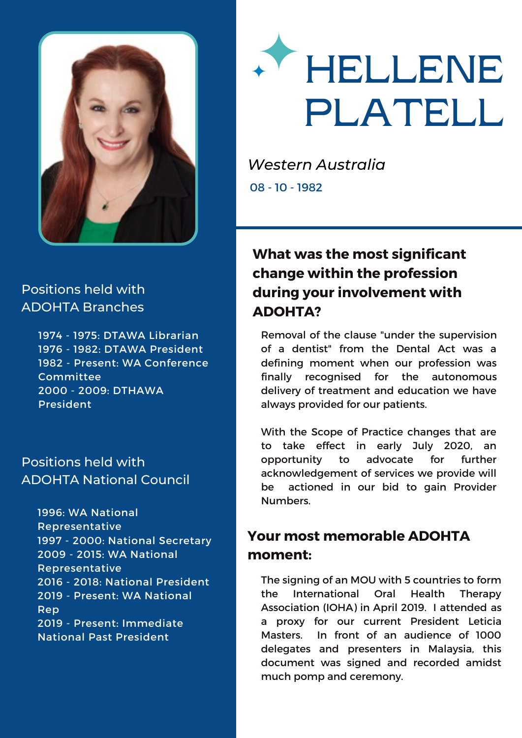



 - 1975: DTAWA Librarian - 1982: DTAWA President - Present: WA Conference Committee - 2009: DTHAWA President

### Positions held with ADOHTA National Council

1996: WA National Representative 1997 - 2000: National Secretary 2009 - 2015: WA National Representative 2016 - 2018: National President 2019 - Present: WA National Rep 2019 - Present: Immediate National Past President



*Western Australia* 08 - 10 - 1982

# **What was the most significant change within the profession during your involvement with ADOHTA?**

Removal of the clause "under the supervision of a dentist" from the Dental Act was a defining moment when our profession was finally recognised for the autonomous delivery of treatment and education we have always provided for our patients.

With the Scope of Practice changes that are to take effect in early July 2020, an opportunity to advocate for further acknowledgement of services we provide will be actioned in our bid to gain Provider Numbers.

# **Your most memorable ADOHTA moment:**

The signing of an MOU with 5 countries to form the International Oral Health Therapy Association (IOHA) in April 2019. I attended as a proxy for our current President Leticia Masters. In front of an audience of 1000 delegates and presenters in Malaysia, this document was signed and recorded amidst much pomp and ceremony.